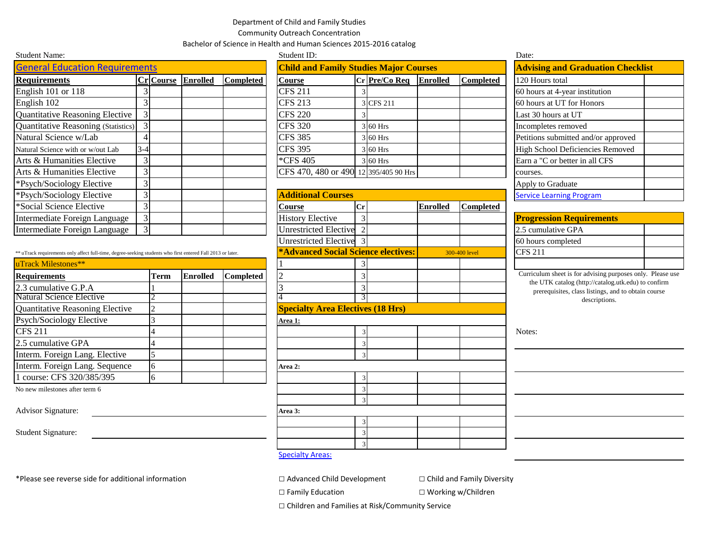## Department of Child and Family Studies

Community Outreach Concentration

Bachelor of Science in Health and Human Sciences 2015-2016 catalog

| <b>Student Name:</b>                  |                  |                 |                  | Student ID:                                   |         |               |                 |           | Date:                                    |  |
|---------------------------------------|------------------|-----------------|------------------|-----------------------------------------------|---------|---------------|-----------------|-----------|------------------------------------------|--|
| <b>General Education Requirements</b> |                  |                 |                  | <b>Child and Family Studies Major Courses</b> |         |               |                 |           | <b>Advising and Graduation Checklist</b> |  |
| <b>Requirements</b>                   | <b>Cr</b> Course | <b>Enrolled</b> | <b>Completed</b> | <b>Course</b>                                 |         | Cr Pre/Co Req | <b>Enrolled</b> | Completed | 120 Hours total                          |  |
| English 101 or 118                    |                  |                 |                  | <b>CFS 211</b>                                |         |               |                 |           | 60 hours at 4-year institution           |  |
| English 102                           |                  |                 |                  | <b>CFS 213</b>                                |         | 3 CFS 211     |                 |           | 60 hours at UT for Honors                |  |
| Quantitative Reasoning Elective       |                  |                 |                  | <b>CFS 220</b>                                |         |               |                 |           | Last 30 hours at UT                      |  |
| Quantitative Reasoning (Statistics)   |                  |                 |                  | <b>CFS 320</b>                                |         | 3 60 Hrs      |                 |           | Incompletes removed                      |  |
| Natural Science w/Lab                 |                  |                 |                  | <b>CFS 385</b>                                |         | 3 60 Hrs      |                 |           | Petitions submitted and/or approved      |  |
| Natural Science with or w/out Lab     | $3-4$            |                 |                  | <b>CFS 395</b>                                |         | 3 60 Hrs      |                 |           | High School Deficiencies Removed         |  |
| Arts & Humanities Elective            |                  |                 |                  | *CFS 405                                      |         | 3 60 Hrs      |                 |           | Earn a "C or better in all CFS           |  |
| Arts & Humanities Elective            | 3                |                 |                  | CFS 470, 480 or 490 12 395/405 90 Hrs         |         |               |                 |           | courses.                                 |  |
| *Psych/Sociology Elective             |                  |                 |                  |                                               |         |               |                 |           | Apply to Graduate                        |  |
| *Psych/Sociology Elective             |                  |                 |                  | <b>Additional Courses</b>                     |         |               |                 |           | <b>Service Learning Program</b>          |  |
| *Social Science Elective              |                  |                 |                  | <b>Course</b>                                 | $ C_r $ |               | <b>Enrolled</b> | Completed |                                          |  |
| Intermediate Foreign Language         | 3                |                 |                  | <b>History Elective</b>                       |         |               |                 |           | <b>Progression Requirements</b>          |  |
| Intermediate Foreign Language         |                  |                 |                  | <b>Unrestricted Elective</b>                  |         |               |                 |           | 2.5 cumulative GPA                       |  |

\*\* uTrack requirements only affect full-time, degree-seeking students who first entered Fall 2013 or later. **\*Advanced Social Science electives:** 

| uTrack Milestones**                    |      |                 |           |                                          |  |          |
|----------------------------------------|------|-----------------|-----------|------------------------------------------|--|----------|
| <b>Requirements</b>                    | Term | <b>Enrolled</b> | Completed |                                          |  | Currico  |
| 2.3 cumulative G.P.A                   |      |                 |           |                                          |  | the<br>p |
| Natural Science Elective               |      |                 |           |                                          |  |          |
| <b>Quantitative Reasoning Elective</b> |      |                 |           | <b>Specialty Area Electives (18 Hrs)</b> |  |          |
| Psych/Sociology Elective               |      |                 |           | Area 1:                                  |  |          |
| <b>CFS 211</b>                         |      |                 |           |                                          |  | Notes:   |
| 2.5 cumulative GPA                     |      |                 |           |                                          |  |          |
| Interm. Foreign Lang. Elective         |      |                 |           |                                          |  |          |
| Interm. Foreign Lang. Sequence         |      |                 |           | Area 2:                                  |  |          |
| 1 course: CFS 320/385/395              |      |                 |           |                                          |  |          |
|                                        |      |                 |           |                                          |  |          |

Advisor Signature: **Area 3: Area 3: Area 3: Area 3: Area 3: Area 3: Area 3: Area 3: Area 3: Area 3: Area 3: Area 3: Area 3: Area 3: Area 3: Area 3: Area 3: Area 3: Area 3: Area 3: Ar** 

| Student ID.                                   |   |               |                 |                  |  |  |  |
|-----------------------------------------------|---|---------------|-----------------|------------------|--|--|--|
| <b>Child and Family Studies Major Courses</b> |   |               |                 |                  |  |  |  |
| Course                                        |   | Cr Pre/Co Req | <b>Enrolled</b> | <b>Completed</b> |  |  |  |
| <b>CFS 211</b>                                | 3 |               |                 |                  |  |  |  |
| <b>CFS 213</b>                                |   | 3 CFS 211     |                 |                  |  |  |  |
| <b>CFS 220</b>                                | 3 |               |                 |                  |  |  |  |
| <b>CFS 320</b>                                |   | 3 60 Hrs      |                 |                  |  |  |  |
| <b>CFS 385</b>                                |   | 3 60 Hrs      |                 |                  |  |  |  |
| <b>CFS 395</b>                                |   | 3 60 Hrs      |                 |                  |  |  |  |
| *CFS 405                                      |   | 3 60 Hrs      |                 |                  |  |  |  |
| CFS 470, 480 or 490 12 395/405 90 Hrs         |   |               |                 |                  |  |  |  |

## **Additional Courses** Unrestricted Elective 2 Unrestricted Elective 3 **Specialty Area Electives (18 Hrs)** No new milestones after term 6 3 3 3 Student Signature: 3 3 300-400 level

| Date:                                    |  |  |  |  |  |
|------------------------------------------|--|--|--|--|--|
| <b>Advising and Graduation Checklist</b> |  |  |  |  |  |
| 120 Hours total                          |  |  |  |  |  |
| 60 hours at 4-year institution           |  |  |  |  |  |
| 60 hours at UT for Honors                |  |  |  |  |  |
| Last 30 hours at UT                      |  |  |  |  |  |
| Incompletes removed                      |  |  |  |  |  |
| Petitions submitted and/or approved      |  |  |  |  |  |
| High School Deficiencies Removed         |  |  |  |  |  |
| Earn a "C or better in all CFS           |  |  |  |  |  |
| courses.                                 |  |  |  |  |  |
| Apply to Graduate                        |  |  |  |  |  |
| <b>Service Learning Program</b>          |  |  |  |  |  |

| <b>Progression Requirements</b> |  |  |  |  |
|---------------------------------|--|--|--|--|
| 2.5 cumulative GPA              |  |  |  |  |
| 60 hours completed              |  |  |  |  |
| <b>CFS 211</b>                  |  |  |  |  |
|                                 |  |  |  |  |

Curriculum sheet is for advising purposes only. Please use the UTK catalog (http://catalog.utk.edu) to confirm prerequisites, class listings, and to obtain course descriptions.

**[Specialty Areas:](http://catalog.utk.edu/preview_program.php?catoid=18&poid=7532)** 

□ Family Education □ ○ Working w/Children

□ Children and Families at Risk/Community Service

\*Please see reverse side for additional information □ Advanced Child Development □ Child and Family Diversity